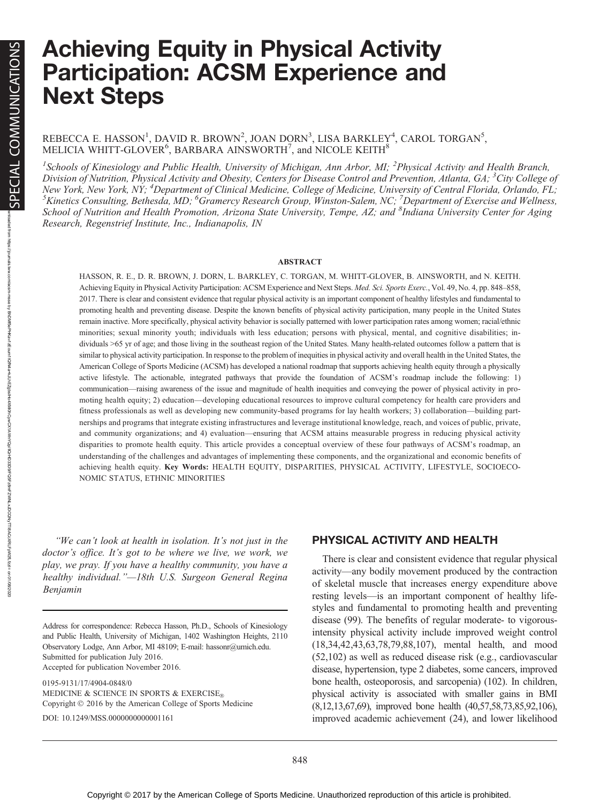## Achieving Equity in Physical Activity Participation: ACSM Experience and Next Steps

REBECCA E. HASSON<sup>1</sup>, DAVID R. BROWN<sup>2</sup>, JOAN DORN<sup>3</sup>, LISA BARKLEY<sup>4</sup>, CAROL TORGAN<sup>5</sup>, MELICIA WHITT-GLOVER<sup>6</sup>, BARBARA AINSWORTH<sup>7</sup>, and NICOLE KEITH $^8$ 

<sup>1</sup>Schools of Kinesiology and Public Health, University of Michigan, Ann Arbor, MI; <sup>2</sup>Physical Activity and Health Branch, Division of Nutrition, Physical Activity and Obesity, Centers for Disease Control and Prevention, Atlanta, GA; <sup>3</sup>City College of New York, New York, NY; <sup>4</sup>Department of Clinical Medicine, College of Medicine, University of Central Florida, Orlando, FL;<br><sup>5</sup>Kineties Consulting, Bethesda, MD: <sup>6</sup>Cramera: Besearch Group, Winston, Salem, NC: <sup>7</sup>Departme Kinetics Consulting, Bethesda, MD; <sup>6</sup>Gramercy Research Group, Winston-Salem, NC; <sup>7</sup>Department of Exercise and Wellness, School of Nutrition and Health Promotion, Arizona State University, Tempe, AZ; and <sup>8</sup>Indiana University Center for Aging Research, Regenstrief Institute, Inc., Indianapolis, IN

#### ABSTRACT

HASSON, R. E., D. R. BROWN, J. DORN, L. BARKLEY, C. TORGAN, M. WHITT-GLOVER, B. AINSWORTH, and N. KEITH. Achieving Equity in Physical Activity Participation: ACSM Experience and Next Steps. Med. Sci. Sports Exerc., Vol. 49, No. 4, pp. 848-858, 2017. There is clear and consistent evidence that regular physical activity is an important component of healthy lifestyles and fundamental to promoting health and preventing disease. Despite the known benefits of physical activity participation, many people in the United States remain inactive. More specifically, physical activity behavior is socially patterned with lower participation rates among women; racial/ethnic minorities; sexual minority youth; individuals with less education; persons with physical, mental, and cognitive disabilities; individuals >65 yr of age; and those living in the southeast region of the United States. Many health-related outcomes follow a pattern that is similar to physical activity participation. In response to the problem of inequities in physical activity and overall health in the United States, the American College of Sports Medicine (ACSM) has developed a national roadmap that supports achieving health equity through a physically active lifestyle. The actionable, integrated pathways that provide the foundation of ACSM's roadmap include the following: 1) communication—raising awareness of the issue and magnitude of health inequities and conveying the power of physical activity in promoting health equity; 2) education—developing educational resources to improve cultural competency for health care providers and fitness professionals as well as developing new community-based programs for lay health workers; 3) collaboration—building partnerships and programs that integrate existing infrastructures and leverage institutional knowledge, reach, and voices of public, private, and community organizations; and 4) evaluation—ensuring that ACSM attains measurable progress in reducing physical activity disparities to promote health equity. This article provides a conceptual overview of these four pathways of ACSM's roadmap, an understanding of the challenges and advantages of implementing these components, and the organizational and economic benefits of achieving health equity. Key Words: HEALTH EQUITY, DISPARITIES, PHYSICAL ACTIVITY, LIFESTYLE, SOCIOECO-NOMIC STATUS, ETHNIC MINORITIES

''We can't look at health in isolation. It's not just in the doctor's office. It's got to be where we live, we work, we play, we pray. If you have a healthy community, you have a healthy individual."—18th U.S. Surgeon General Regina Benjamin

Address for correspondence: Rebecca Hasson, Ph.D., Schools of Kinesiology and Public Health, University of Michigan, 1402 Washington Heights, 2110 Observatory Lodge, Ann Arbor, MI 48109; E-mail: hassonr@umich.edu. Submitted for publication July 2016. Accepted for publication November 2016.

0195-9131/17/4904-0848/0 MEDICINE & SCIENCE IN SPORTS & EXERCISE® Copyright 2016 by the American College of Sports Medicine DOI: 10.1249/MSS.0000000000001161

#### PHYSICAL ACTIVITY AND HEALTH

There is clear and consistent evidence that regular physical activity—any bodily movement produced by the contraction of skeletal muscle that increases energy expenditure above resting levels—is an important component of healthy lifestyles and fundamental to promoting health and preventing disease (99). The benefits of regular moderate- to vigorousintensity physical activity include improved weight control (18,34,42,43,63,78,79,88,107), mental health, and mood (52,102) as well as reduced disease risk (e.g., cardiovascular disease, hypertension, type 2 diabetes, some cancers, improved bone health, osteoporosis, and sarcopenia) (102). In children, physical activity is associated with smaller gains in BMI (8,12,13,67,69), improved bone health (40,57,58,73,85,92,106), improved academic achievement (24), and lower likelihood

Downloaded from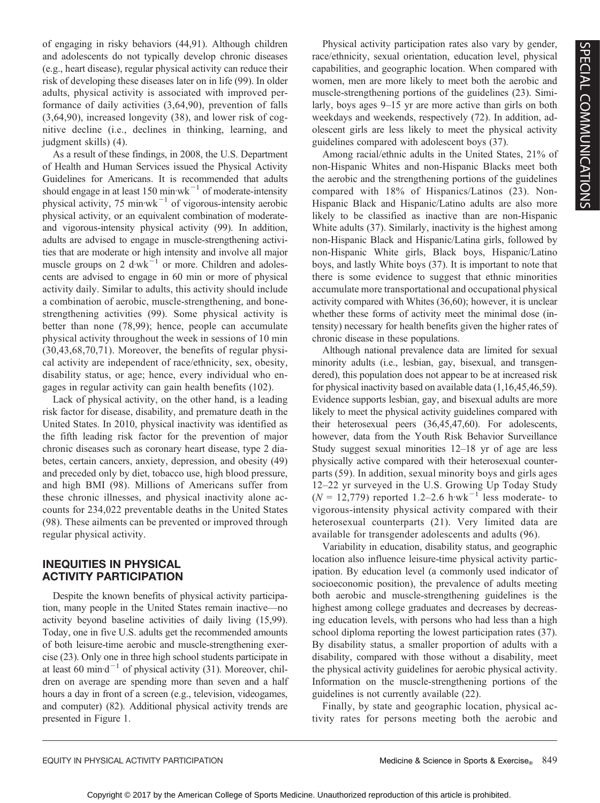of engaging in risky behaviors (44,91). Although children and adolescents do not typically develop chronic diseases (e.g., heart disease), regular physical activity can reduce their risk of developing these diseases later on in life (99). In older adults, physical activity is associated with improved performance of daily activities (3,64,90), prevention of falls (3,64,90), increased longevity (38), and lower risk of cognitive decline (i.e., declines in thinking, learning, and judgment skills) (4).

As a result of these findings, in 2008, the U.S. Department of Health and Human Services issued the Physical Activity Guidelines for Americans. It is recommended that adults should engage in at least 150 min $wk^{-1}$  of moderate-intensity physical activity, 75 min $wk^{-1}$  of vigorous-intensity aerobic physical activity, or an equivalent combination of moderateand vigorous-intensity physical activity (99). In addition, adults are advised to engage in muscle-strengthening activities that are moderate or high intensity and involve all major muscle groups on 2 d $wk^{-1}$  or more. Children and adolescents are advised to engage in 60 min or more of physical activity daily. Similar to adults, this activity should include a combination of aerobic, muscle-strengthening, and bonestrengthening activities (99). Some physical activity is better than none (78,99); hence, people can accumulate physical activity throughout the week in sessions of 10 min (30,43,68,70,71). Moreover, the benefits of regular physical activity are independent of race/ethnicity, sex, obesity, disability status, or age; hence, every individual who engages in regular activity can gain health benefits (102).

Lack of physical activity, on the other hand, is a leading risk factor for disease, disability, and premature death in the United States. In 2010, physical inactivity was identified as the fifth leading risk factor for the prevention of major chronic diseases such as coronary heart disease, type 2 diabetes, certain cancers, anxiety, depression, and obesity (49) and preceded only by diet, tobacco use, high blood pressure, and high BMI (98). Millions of Americans suffer from these chronic illnesses, and physical inactivity alone accounts for 234,022 preventable deaths in the United States (98). These ailments can be prevented or improved through regular physical activity.

#### INEQUITIES IN PHYSICAL ACTIVITY PARTICIPATION

Despite the known benefits of physical activity participation, many people in the United States remain inactive—no activity beyond baseline activities of daily living (15,99). Today, one in five U.S. adults get the recommended amounts of both leisure-time aerobic and muscle-strengthening exercise (23). Only one in three high school students participate in at least 60 min $d^{-1}$  of physical activity (31). Moreover, children on average are spending more than seven and a half hours a day in front of a screen (e.g., television, videogames, and computer) (82). Additional physical activity trends are presented in Figure 1.

Physical activity participation rates also vary by gender, race/ethnicity, sexual orientation, education level, physical capabilities, and geographic location. When compared with women, men are more likely to meet both the aerobic and muscle-strengthening portions of the guidelines (23). Similarly, boys ages 9–15 yr are more active than girls on both weekdays and weekends, respectively (72). In addition, adolescent girls are less likely to meet the physical activity guidelines compared with adolescent boys (37).

Among racial/ethnic adults in the United States, 21% of non-Hispanic Whites and non-Hispanic Blacks meet both the aerobic and the strengthening portions of the guidelines compared with 18% of Hispanics/Latinos (23). Non-Hispanic Black and Hispanic/Latino adults are also more likely to be classified as inactive than are non-Hispanic White adults (37). Similarly, inactivity is the highest among non-Hispanic Black and Hispanic/Latina girls, followed by non-Hispanic White girls, Black boys, Hispanic/Latino boys, and lastly White boys (37). It is important to note that there is some evidence to suggest that ethnic minorities accumulate more transportational and occupational physical activity compared with Whites (36,60); however, it is unclear whether these forms of activity meet the minimal dose (intensity) necessary for health benefits given the higher rates of chronic disease in these populations.

Although national prevalence data are limited for sexual minority adults (i.e., lesbian, gay, bisexual, and transgendered), this population does not appear to be at increased risk for physical inactivity based on available data (1,16,45,46,59). Evidence supports lesbian, gay, and bisexual adults are more likely to meet the physical activity guidelines compared with their heterosexual peers (36,45,47,60). For adolescents, however, data from the Youth Risk Behavior Surveillance Study suggest sexual minorities 12–18 yr of age are less physically active compared with their heterosexual counterparts (59). In addition, sexual minority boys and girls ages 12–22 yr surveyed in the U.S. Growing Up Today Study  $(N = 12,779)$  reported 1.2–2.6 h·wk<sup>-1</sup> less moderate- to vigorous-intensity physical activity compared with their heterosexual counterparts (21). Very limited data are available for transgender adolescents and adults (96).

Variability in education, disability status, and geographic location also influence leisure-time physical activity participation. By education level (a commonly used indicator of socioeconomic position), the prevalence of adults meeting both aerobic and muscle-strengthening guidelines is the highest among college graduates and decreases by decreasing education levels, with persons who had less than a high school diploma reporting the lowest participation rates (37). By disability status, a smaller proportion of adults with a disability, compared with those without a disability, meet the physical activity guidelines for aerobic physical activity. Information on the muscle-strengthening portions of the guidelines is not currently available (22).

Finally, by state and geographic location, physical activity rates for persons meeting both the aerobic and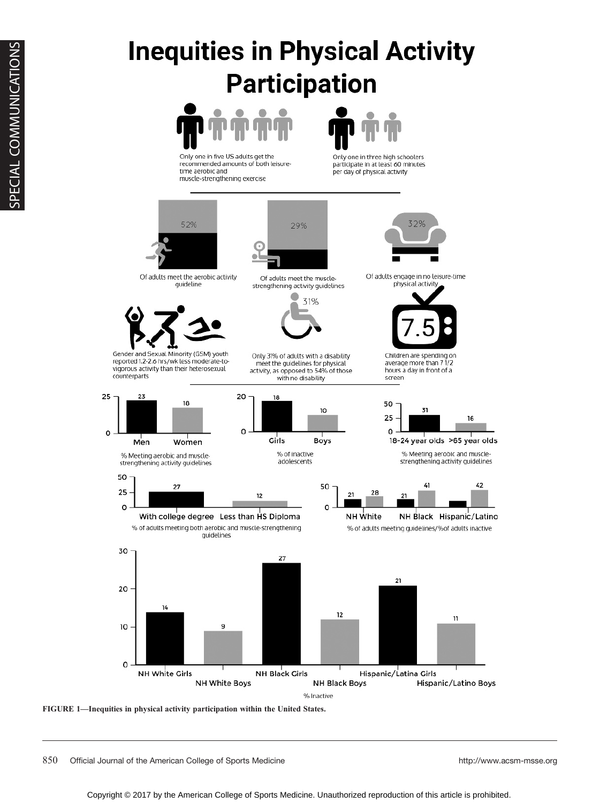# **Inequities in Physical Activity Participation**



With college degree Less than HS Diploma % of adults meeting both aerobic and muscle-strengthening quidelines

 $12$ 

NH White NH Black Hispanic/Latino % of adults meeting guidelines/%of adults inactive

28

16

42



 $\Omega$ 



25

 $\Omega$ 

25

 $\Omega$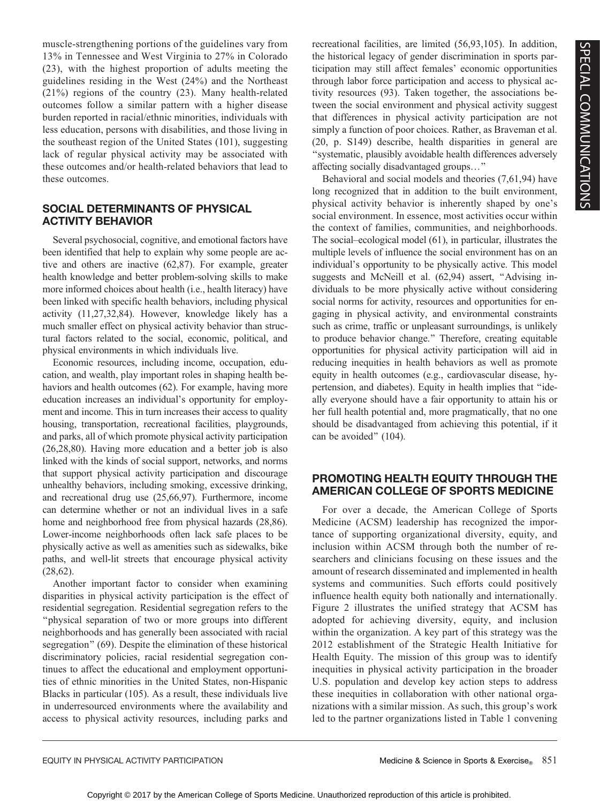muscle-strengthening portions of the guidelines vary from 13% in Tennessee and West Virginia to 27% in Colorado (23), with the highest proportion of adults meeting the guidelines residing in the West (24%) and the Northeast (21%) regions of the country (23). Many health-related outcomes follow a similar pattern with a higher disease burden reported in racial/ethnic minorities, individuals with less education, persons with disabilities, and those living in the southeast region of the United States (101), suggesting lack of regular physical activity may be associated with these outcomes and/or health-related behaviors that lead to these outcomes.

#### SOCIAL DETERMINANTS OF PHYSICAL ACTIVITY BEHAVIOR

Several psychosocial, cognitive, and emotional factors have been identified that help to explain why some people are active and others are inactive (62,87). For example, greater health knowledge and better problem-solving skills to make more informed choices about health (i.e., health literacy) have been linked with specific health behaviors, including physical activity (11,27,32,84). However, knowledge likely has a much smaller effect on physical activity behavior than structural factors related to the social, economic, political, and physical environments in which individuals live.

Economic resources, including income, occupation, education, and wealth, play important roles in shaping health behaviors and health outcomes (62). For example, having more education increases an individual's opportunity for employment and income. This in turn increases their access to quality housing, transportation, recreational facilities, playgrounds, and parks, all of which promote physical activity participation (26,28,80). Having more education and a better job is also linked with the kinds of social support, networks, and norms that support physical activity participation and discourage unhealthy behaviors, including smoking, excessive drinking, and recreational drug use (25,66,97). Furthermore, income can determine whether or not an individual lives in a safe home and neighborhood free from physical hazards (28,86). Lower-income neighborhoods often lack safe places to be physically active as well as amenities such as sidewalks, bike paths, and well-lit streets that encourage physical activity (28,62).

Another important factor to consider when examining disparities in physical activity participation is the effect of residential segregation. Residential segregation refers to the ''physical separation of two or more groups into different neighborhoods and has generally been associated with racial segregation" (69). Despite the elimination of these historical discriminatory policies, racial residential segregation continues to affect the educational and employment opportunities of ethnic minorities in the United States, non-Hispanic Blacks in particular (105). As a result, these individuals live in underresourced environments where the availability and access to physical activity resources, including parks and

recreational facilities, are limited (56,93,105). In addition, the historical legacy of gender discrimination in sports participation may still affect females' economic opportunities through labor force participation and access to physical activity resources (93). Taken together, the associations between the social environment and physical activity suggest that differences in physical activity participation are not simply a function of poor choices. Rather, as Braveman et al. (20, p. S149) describe, health disparities in general are ''systematic, plausibly avoidable health differences adversely affecting socially disadvantaged groups..."

Behavioral and social models and theories (7,61,94) have long recognized that in addition to the built environment, physical activity behavior is inherently shaped by one's social environment. In essence, most activities occur within the context of families, communities, and neighborhoods. The social–ecological model (61), in particular, illustrates the multiple levels of influence the social environment has on an individual's opportunity to be physically active. This model suggests and McNeill et al. (62,94) assert, "Advising individuals to be more physically active without considering social norms for activity, resources and opportunities for engaging in physical activity, and environmental constraints such as crime, traffic or unpleasant surroundings, is unlikely to produce behavior change.'' Therefore, creating equitable opportunities for physical activity participation will aid in reducing inequities in health behaviors as well as promote equity in health outcomes (e.g., cardiovascular disease, hypertension, and diabetes). Equity in health implies that ''ideally everyone should have a fair opportunity to attain his or her full health potential and, more pragmatically, that no one should be disadvantaged from achieving this potential, if it can be avoided'' (104).

#### PROMOTING HEALTH EQUITY THROUGH THE AMERICAN COLLEGE OF SPORTS MEDICINE

For over a decade, the American College of Sports Medicine (ACSM) leadership has recognized the importance of supporting organizational diversity, equity, and inclusion within ACSM through both the number of researchers and clinicians focusing on these issues and the amount of research disseminated and implemented in health systems and communities. Such efforts could positively influence health equity both nationally and internationally. Figure 2 illustrates the unified strategy that ACSM has adopted for achieving diversity, equity, and inclusion within the organization. A key part of this strategy was the 2012 establishment of the Strategic Health Initiative for Health Equity. The mission of this group was to identify inequities in physical activity participation in the broader U.S. population and develop key action steps to address these inequities in collaboration with other national organizations with a similar mission. As such, this group's work led to the partner organizations listed in Table 1 convening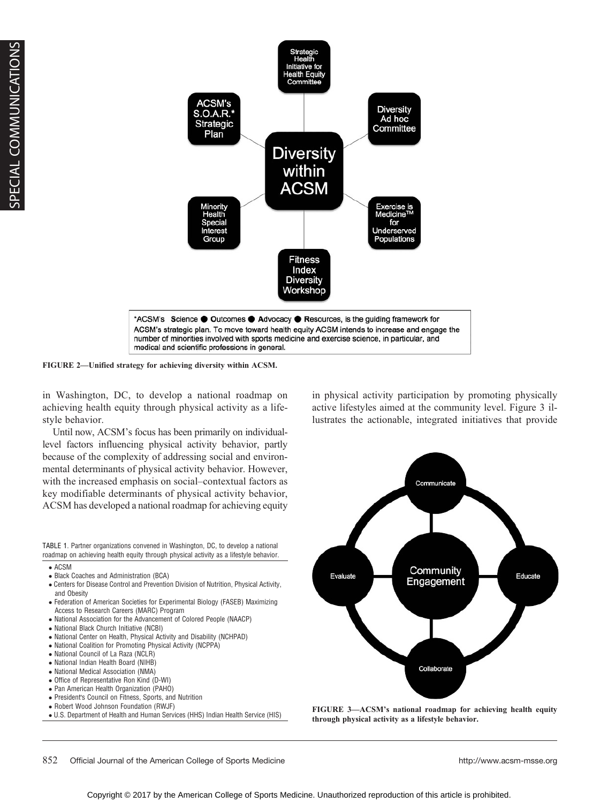

FIGURE 2—Unified strategy for achieving diversity within ACSM.

in Washington, DC, to develop a national roadmap on achieving health equity through physical activity as a lifestyle behavior.

Until now, ACSM's focus has been primarily on individuallevel factors influencing physical activity behavior, partly because of the complexity of addressing social and environmental determinants of physical activity behavior. However, with the increased emphasis on social–contextual factors as key modifiable determinants of physical activity behavior, ACSM has developed a national roadmap for achieving equity

TABLE 1. Partner organizations convened in Washington, DC, to develop a national roadmap on achieving health equity through physical activity as a lifestyle behavior.

- $\bullet$  ACSM
- Black Coaches and Administration (BCA)
- Centers for Disease Control and Prevention Division of Nutrition, Physical Activity, and Obesity
- Federation of American Societies for Experimental Biology (FASEB) Maximizing Access to Research Careers (MARC) Program
- National Association for the Advancement of Colored People (NAACP)
- National Black Church Initiative (NCBI)
- National Center on Health, Physical Activity and Disability (NCHPAD)
- National Coalition for Promoting Physical Activity (NCPPA)
- National Council of La Raza (NCLR)
- National Indian Health Board (NIHB)
- National Medical Association (NMA)
- Office of Representative Ron Kind (D-WI)
- Pan American Health Organization (PAHO)
- President"s Council on Fitness, Sports, and Nutrition
- Robert Wood Johnson Foundation (RWJF)
- 

in physical activity participation by promoting physically active lifestyles aimed at the community level. Figure 3 illustrates the actionable, integrated initiatives that provide



• Robert wood Johnson Foundation (RWJF) (Realth Service (HIS) FIGURE 3—ACSM's national roadmap for achieving health equity • U.S. Department of Health and Human Services (HHS) Indian Health Service (HIS) **FIGURE 3—ACSM's n** through physical activity as a lifestyle behavior.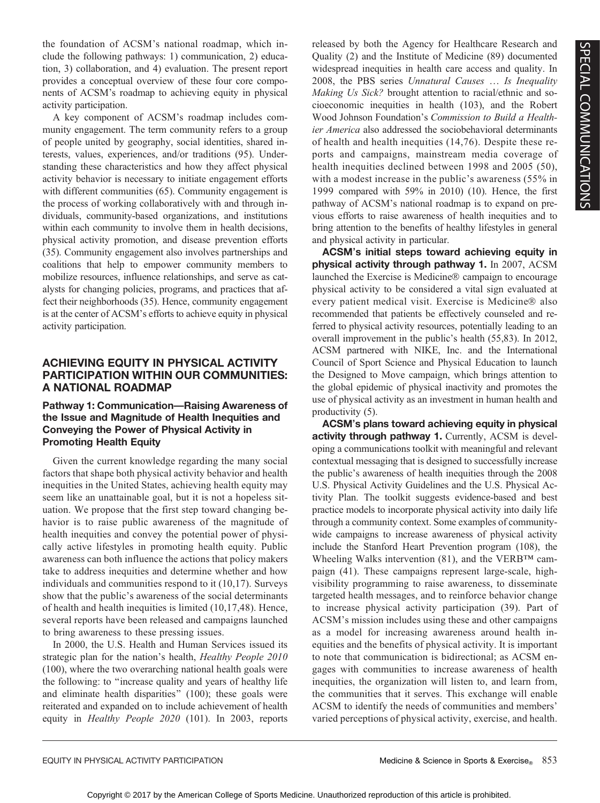the foundation of ACSM's national roadmap, which include the following pathways: 1) communication, 2) education, 3) collaboration, and 4) evaluation. The present report provides a conceptual overview of these four core components of ACSM's roadmap to achieving equity in physical activity participation.

A key component of ACSM's roadmap includes community engagement. The term community refers to a group of people united by geography, social identities, shared interests, values, experiences, and/or traditions (95). Understanding these characteristics and how they affect physical activity behavior is necessary to initiate engagement efforts with different communities (65). Community engagement is the process of working collaboratively with and through individuals, community-based organizations, and institutions within each community to involve them in health decisions, physical activity promotion, and disease prevention efforts (35). Community engagement also involves partnerships and coalitions that help to empower community members to mobilize resources, influence relationships, and serve as catalysts for changing policies, programs, and practices that affect their neighborhoods (35). Hence, community engagement is at the center of ACSM's efforts to achieve equity in physical activity participation.

### ACHIEVING EQUITY IN PHYSICAL ACTIVITY PARTICIPATION WITHIN OUR COMMUNITIES: A NATIONAL ROADMAP

#### Pathway 1: Communication—Raising Awareness of the Issue and Magnitude of Health Inequities and Conveying the Power of Physical Activity in Promoting Health Equity

Given the current knowledge regarding the many social factors that shape both physical activity behavior and health inequities in the United States, achieving health equity may seem like an unattainable goal, but it is not a hopeless situation. We propose that the first step toward changing behavior is to raise public awareness of the magnitude of health inequities and convey the potential power of physically active lifestyles in promoting health equity. Public awareness can both influence the actions that policy makers take to address inequities and determine whether and how individuals and communities respond to it (10,17). Surveys show that the public's awareness of the social determinants of health and health inequities is limited (10,17,48). Hence, several reports have been released and campaigns launched to bring awareness to these pressing issues.

In 2000, the U.S. Health and Human Services issued its strategic plan for the nation's health, Healthy People 2010 (100), where the two overarching national health goals were the following: to ''increase quality and years of healthy life and eliminate health disparities'' (100); these goals were reiterated and expanded on to include achievement of health equity in Healthy People 2020 (101). In 2003, reports

released by both the Agency for Healthcare Research and Quality (2) and the Institute of Medicine (89) documented widespread inequities in health care access and quality. In 2008, the PBS series Unnatural Causes ... Is Inequality Making Us Sick? brought attention to racial/ethnic and socioeconomic inequities in health (103), and the Robert Wood Johnson Foundation's Commission to Build a Healthier America also addressed the sociobehavioral determinants of health and health inequities (14,76). Despite these reports and campaigns, mainstream media coverage of health inequities declined between 1998 and 2005 (50), with a modest increase in the public's awareness (55% in 1999 compared with 59% in 2010) (10). Hence, the first pathway of ACSM's national roadmap is to expand on previous efforts to raise awareness of health inequities and to bring attention to the benefits of healthy lifestyles in general and physical activity in particular.

ACSM's initial steps toward achieving equity in physical activity through pathway 1. In 2007, ACSM launched the Exercise is Medicine® campaign to encourage physical activity to be considered a vital sign evaluated at every patient medical visit. Exercise is Medicine® also recommended that patients be effectively counseled and referred to physical activity resources, potentially leading to an overall improvement in the public's health (55,83). In 2012, ACSM partnered with NIKE, Inc. and the International Council of Sport Science and Physical Education to launch the Designed to Move campaign, which brings attention to the global epidemic of physical inactivity and promotes the use of physical activity as an investment in human health and productivity (5).

ACSM's plans toward achieving equity in physical activity through pathway 1. Currently, ACSM is developing a communications toolkit with meaningful and relevant contextual messaging that is designed to successfully increase the public's awareness of health inequities through the 2008 U.S. Physical Activity Guidelines and the U.S. Physical Activity Plan. The toolkit suggests evidence-based and best practice models to incorporate physical activity into daily life through a community context. Some examples of communitywide campaigns to increase awareness of physical activity include the Stanford Heart Prevention program (108), the Wheeling Walks intervention  $(81)$ , and the VERB<sup>TM</sup> campaign (41). These campaigns represent large-scale, highvisibility programming to raise awareness, to disseminate targeted health messages, and to reinforce behavior change to increase physical activity participation (39). Part of ACSM's mission includes using these and other campaigns as a model for increasing awareness around health inequities and the benefits of physical activity. It is important to note that communication is bidirectional; as ACSM engages with communities to increase awareness of health inequities, the organization will listen to, and learn from, the communities that it serves. This exchange will enable ACSM to identify the needs of communities and members' varied perceptions of physical activity, exercise, and health.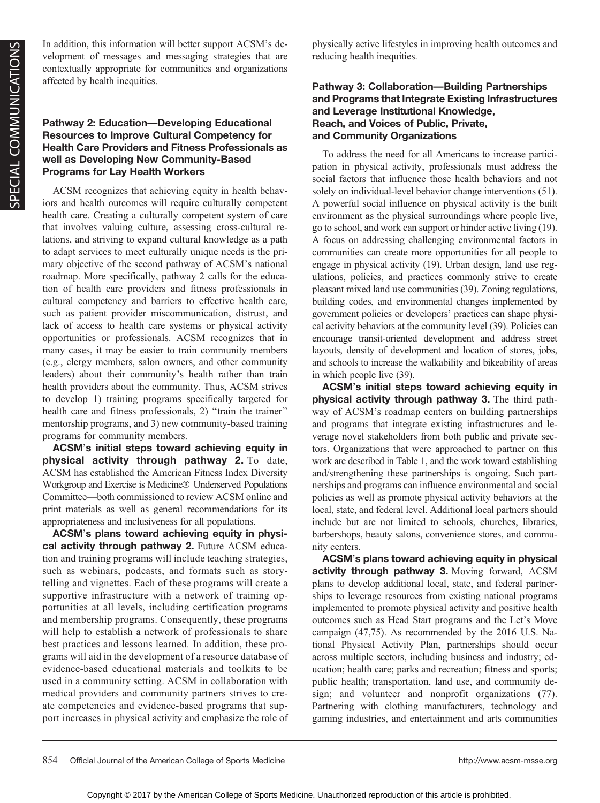In addition, this information will better support ACSM's development of messages and messaging strategies that are contextually appropriate for communities and organizations affected by health inequities.

#### Pathway 2: Education—Developing Educational Resources to Improve Cultural Competency for Health Care Providers and Fitness Professionals as well as Developing New Community-Based Programs for Lay Health Workers

ACSM recognizes that achieving equity in health behaviors and health outcomes will require culturally competent health care. Creating a culturally competent system of care that involves valuing culture, assessing cross-cultural relations, and striving to expand cultural knowledge as a path to adapt services to meet culturally unique needs is the primary objective of the second pathway of ACSM's national roadmap. More specifically, pathway 2 calls for the education of health care providers and fitness professionals in cultural competency and barriers to effective health care, such as patient–provider miscommunication, distrust, and lack of access to health care systems or physical activity opportunities or professionals. ACSM recognizes that in many cases, it may be easier to train community members (e.g., clergy members, salon owners, and other community leaders) about their community's health rather than train health providers about the community. Thus, ACSM strives to develop 1) training programs specifically targeted for health care and fitness professionals, 2) "train the trainer" mentorship programs, and 3) new community-based training programs for community members.

ACSM's initial steps toward achieving equity in physical activity through pathway 2. To date, ACSM has established the American Fitness Index Diversity Workgroup and Exercise is Medicine® Underserved Populations Committee—both commissioned to review ACSM online and print materials as well as general recommendations for its appropriateness and inclusiveness for all populations.

ACSM's plans toward achieving equity in physical activity through pathway 2. Future ACSM education and training programs will include teaching strategies, such as webinars, podcasts, and formats such as storytelling and vignettes. Each of these programs will create a supportive infrastructure with a network of training opportunities at all levels, including certification programs and membership programs. Consequently, these programs will help to establish a network of professionals to share best practices and lessons learned. In addition, these programs will aid in the development of a resource database of evidence-based educational materials and toolkits to be used in a community setting. ACSM in collaboration with medical providers and community partners strives to create competencies and evidence-based programs that support increases in physical activity and emphasize the role of physically active lifestyles in improving health outcomes and reducing health inequities.

#### Pathway 3: Collaboration—Building Partnerships and Programs that Integrate Existing Infrastructures and Leverage Institutional Knowledge, Reach, and Voices of Public, Private, and Community Organizations

To address the need for all Americans to increase participation in physical activity, professionals must address the social factors that influence those health behaviors and not solely on individual-level behavior change interventions (51). A powerful social influence on physical activity is the built environment as the physical surroundings where people live, go to school, and work can support or hinder active living (19). A focus on addressing challenging environmental factors in communities can create more opportunities for all people to engage in physical activity (19). Urban design, land use regulations, policies, and practices commonly strive to create pleasant mixed land use communities (39). Zoning regulations, building codes, and environmental changes implemented by government policies or developers' practices can shape physical activity behaviors at the community level (39). Policies can encourage transit-oriented development and address street layouts, density of development and location of stores, jobs, and schools to increase the walkability and bikeability of areas in which people live (39).

ACSM's initial steps toward achieving equity in physical activity through pathway 3. The third pathway of ACSM's roadmap centers on building partnerships and programs that integrate existing infrastructures and leverage novel stakeholders from both public and private sectors. Organizations that were approached to partner on this work are described in Table 1, and the work toward establishing and/strengthening these partnerships is ongoing. Such partnerships and programs can influence environmental and social policies as well as promote physical activity behaviors at the local, state, and federal level. Additional local partners should include but are not limited to schools, churches, libraries, barbershops, beauty salons, convenience stores, and community centers.

ACSM's plans toward achieving equity in physical activity through pathway 3. Moving forward, ACSM plans to develop additional local, state, and federal partnerships to leverage resources from existing national programs implemented to promote physical activity and positive health outcomes such as Head Start programs and the Let's Move campaign (47,75). As recommended by the 2016 U.S. National Physical Activity Plan, partnerships should occur across multiple sectors, including business and industry; education; health care; parks and recreation; fitness and sports; public health; transportation, land use, and community design; and volunteer and nonprofit organizations (77). Partnering with clothing manufacturers, technology and gaming industries, and entertainment and arts communities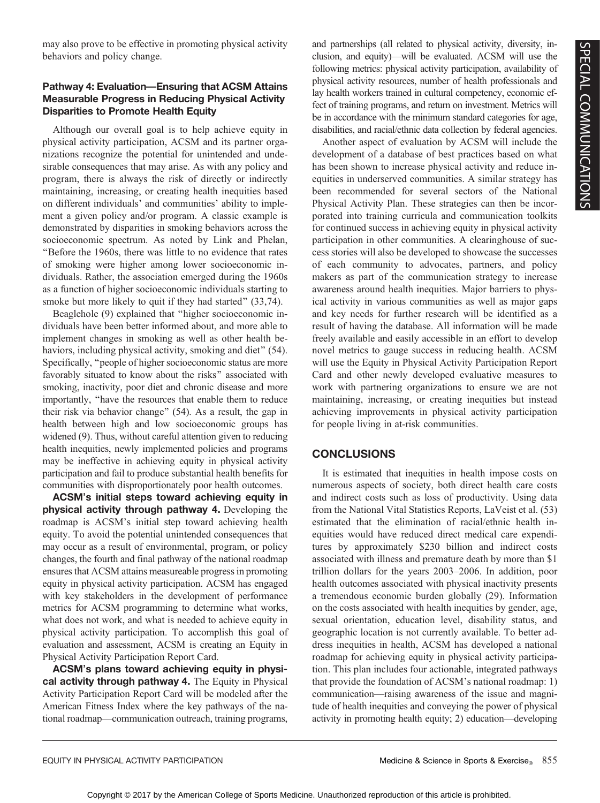may also prove to be effective in promoting physical activity behaviors and policy change.

#### Pathway 4: Evaluation—Ensuring that ACSM Attains Measurable Progress in Reducing Physical Activity Disparities to Promote Health Equity

Although our overall goal is to help achieve equity in physical activity participation, ACSM and its partner organizations recognize the potential for unintended and undesirable consequences that may arise. As with any policy and program, there is always the risk of directly or indirectly maintaining, increasing, or creating health inequities based on different individuals' and communities' ability to implement a given policy and/or program. A classic example is demonstrated by disparities in smoking behaviors across the socioeconomic spectrum. As noted by Link and Phelan, ''Before the 1960s, there was little to no evidence that rates of smoking were higher among lower socioeconomic individuals. Rather, the association emerged during the 1960s as a function of higher socioeconomic individuals starting to smoke but more likely to quit if they had started" (33,74).

Beaglehole (9) explained that ''higher socioeconomic individuals have been better informed about, and more able to implement changes in smoking as well as other health behaviors, including physical activity, smoking and diet" (54). Specifically, ''people of higher socioeconomic status are more favorably situated to know about the risks'' associated with smoking, inactivity, poor diet and chronic disease and more importantly, ''have the resources that enable them to reduce their risk via behavior change'' (54). As a result, the gap in health between high and low socioeconomic groups has widened (9). Thus, without careful attention given to reducing health inequities, newly implemented policies and programs may be ineffective in achieving equity in physical activity participation and fail to produce substantial health benefits for communities with disproportionately poor health outcomes.

ACSM's initial steps toward achieving equity in physical activity through pathway 4. Developing the roadmap is ACSM's initial step toward achieving health equity. To avoid the potential unintended consequences that may occur as a result of environmental, program, or policy changes, the fourth and final pathway of the national roadmap ensures that ACSM attains measureable progress in promoting equity in physical activity participation. ACSM has engaged with key stakeholders in the development of performance metrics for ACSM programming to determine what works, what does not work, and what is needed to achieve equity in physical activity participation. To accomplish this goal of evaluation and assessment, ACSM is creating an Equity in Physical Activity Participation Report Card.

ACSM's plans toward achieving equity in physical activity through pathway 4. The Equity in Physical Activity Participation Report Card will be modeled after the American Fitness Index where the key pathways of the national roadmap—communication outreach, training programs, and partnerships (all related to physical activity, diversity, inclusion, and equity)—will be evaluated. ACSM will use the following metrics: physical activity participation, availability of physical activity resources, number of health professionals and lay health workers trained in cultural competency, economic effect of training programs, and return on investment. Metrics will be in accordance with the minimum standard categories for age, disabilities, and racial/ethnic data collection by federal agencies.

Another aspect of evaluation by ACSM will include the development of a database of best practices based on what has been shown to increase physical activity and reduce inequities in underserved communities. A similar strategy has been recommended for several sectors of the National Physical Activity Plan. These strategies can then be incorporated into training curricula and communication toolkits for continued success in achieving equity in physical activity participation in other communities. A clearinghouse of success stories will also be developed to showcase the successes of each community to advocates, partners, and policy makers as part of the communication strategy to increase awareness around health inequities. Major barriers to physical activity in various communities as well as major gaps and key needs for further research will be identified as a result of having the database. All information will be made freely available and easily accessible in an effort to develop novel metrics to gauge success in reducing health. ACSM will use the Equity in Physical Activity Participation Report Card and other newly developed evaluative measures to work with partnering organizations to ensure we are not maintaining, increasing, or creating inequities but instead achieving improvements in physical activity participation for people living in at-risk communities.

#### **CONCLUSIONS**

It is estimated that inequities in health impose costs on numerous aspects of society, both direct health care costs and indirect costs such as loss of productivity. Using data from the National Vital Statistics Reports, LaVeist et al. (53) estimated that the elimination of racial/ethnic health inequities would have reduced direct medical care expenditures by approximately \$230 billion and indirect costs associated with illness and premature death by more than \$1 trillion dollars for the years 2003–2006. In addition, poor health outcomes associated with physical inactivity presents a tremendous economic burden globally (29). Information on the costs associated with health inequities by gender, age, sexual orientation, education level, disability status, and geographic location is not currently available. To better address inequities in health, ACSM has developed a national roadmap for achieving equity in physical activity participation. This plan includes four actionable, integrated pathways that provide the foundation of ACSM's national roadmap: 1) communication—raising awareness of the issue and magnitude of health inequities and conveying the power of physical activity in promoting health equity; 2) education—developing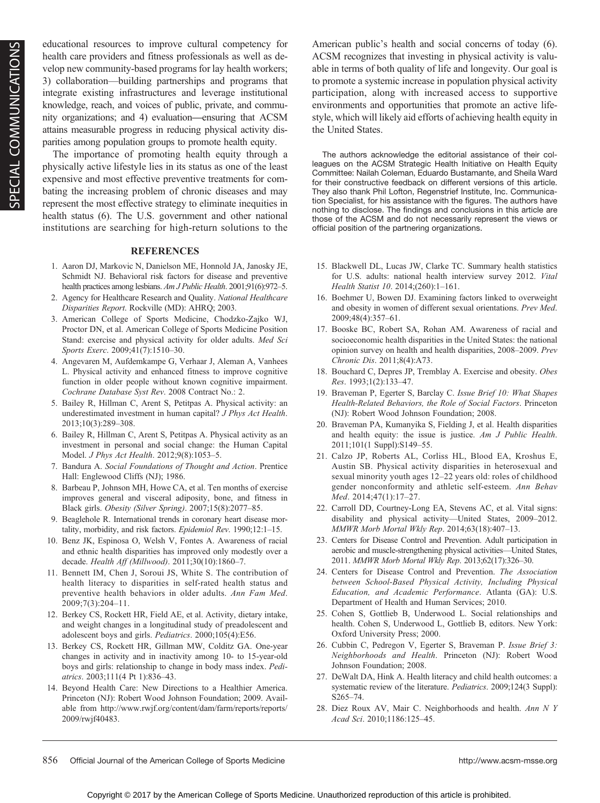educational resources to improve cultural competency for health care providers and fitness professionals as well as develop new community-based programs for lay health workers; 3) collaboration—building partnerships and programs that integrate existing infrastructures and leverage institutional knowledge, reach, and voices of public, private, and community organizations; and 4) evaluation—ensuring that ACSM attains measurable progress in reducing physical activity disparities among population groups to promote health equity.

The importance of promoting health equity through a physically active lifestyle lies in its status as one of the least expensive and most effective preventive treatments for combating the increasing problem of chronic diseases and may represent the most effective strategy to eliminate inequities in health status (6). The U.S. government and other national institutions are searching for high-return solutions to the

#### **REFERENCES**

- 1. Aaron DJ, Markovic N, Danielson ME, Honnold JA, Janosky JE, Schmidt NJ. Behavioral risk factors for disease and preventive health practices among lesbians. Am J Public Health. 2001;91(6):972-5.
- 2. Agency for Healthcare Research and Quality. National Healthcare Disparities Report. Rockville (MD): AHRQ; 2003.
- 3. American College of Sports Medicine, Chodzko-Zajko WJ, Proctor DN, et al. American College of Sports Medicine Position Stand: exercise and physical activity for older adults. Med Sci Sports Exerc. 2009;41(7):1510–30.
- 4. Angevaren M, Aufdemkampe G, Verhaar J, Aleman A, Vanhees L. Physical activity and enhanced fitness to improve cognitive function in older people without known cognitive impairment. Cochrane Database Syst Rev. 2008 Contract No.: 2.
- 5. Bailey R, Hillman C, Arent S, Petitpas A. Physical activity: an underestimated investment in human capital? J Phys Act Health. 2013;10(3):289–308.
- 6. Bailey R, Hillman C, Arent S, Petitpas A. Physical activity as an investment in personal and social change: the Human Capital Model. J Phys Act Health. 2012;9(8):1053–5.
- 7. Bandura A. Social Foundations of Thought and Action. Prentice Hall: Englewood Cliffs (NJ); 1986.
- 8. Barbeau P, Johnson MH, Howe CA, et al. Ten months of exercise improves general and visceral adiposity, bone, and fitness in Black girls. Obesity (Silver Spring). 2007;15(8):2077–85.
- 9. Beaglehole R. International trends in coronary heart disease mortality, morbidity, and risk factors. Epidemiol Rev. 1990;12:1–15.
- 10. Benz JK, Espinosa O, Welsh V, Fontes A. Awareness of racial and ethnic health disparities has improved only modestly over a decade. Health Aff (Millwood). 2011;30(10):1860–7.
- 11. Bennett IM, Chen J, Soroui JS, White S. The contribution of health literacy to disparities in self-rated health status and preventive health behaviors in older adults. Ann Fam Med. 2009;7(3):204–11.
- 12. Berkey CS, Rockett HR, Field AE, et al. Activity, dietary intake, and weight changes in a longitudinal study of preadolescent and adolescent boys and girls. Pediatrics. 2000;105(4):E56.
- 13. Berkey CS, Rockett HR, Gillman MW, Colditz GA. One-year changes in activity and in inactivity among 10- to 15-year-old boys and girls: relationship to change in body mass index. Pediatrics. 2003;111(4 Pt 1):836–43.
- 14. Beyond Health Care: New Directions to a Healthier America. Princeton (NJ): Robert Wood Johnson Foundation; 2009. Available from [http://www.rwjf.org/content/dam/farm/reports/reports/](http://www.rwjf.org/content/dam/farm/reports/reports/2009/rwjf40483) [2009/rwjf40483.](http://www.rwjf.org/content/dam/farm/reports/reports/2009/rwjf40483)

American public's health and social concerns of today (6). ACSM recognizes that investing in physical activity is valuable in terms of both quality of life and longevity. Our goal is to promote a systemic increase in population physical activity participation, along with increased access to supportive environments and opportunities that promote an active lifestyle, which will likely aid efforts of achieving health equity in the United States.

The authors acknowledge the editorial assistance of their colleagues on the ACSM Strategic Health Initiative on Health Equity Committee: Nailah Coleman, Eduardo Bustamante, and Sheila Ward for their constructive feedback on different versions of this article. They also thank Phil Lofton, Regenstrief Institute, Inc. Communication Specialist, for his assistance with the figures. The authors have nothing to disclose. The findings and conclusions in this article are those of the ACSM and do not necessarily represent the views or official position of the partnering organizations.

- 15. Blackwell DL, Lucas JW, Clarke TC. Summary health statistics for U.S. adults: national health interview survey 2012. Vital Health Statist 10. 2014;(260):1–161.
- 16. Boehmer U, Bowen DJ. Examining factors linked to overweight and obesity in women of different sexual orientations. Prev Med. 2009;48(4):357–61.
- 17. Booske BC, Robert SA, Rohan AM. Awareness of racial and socioeconomic health disparities in the United States: the national opinion survey on health and health disparities, 2008–2009. Prev Chronic Dis. 2011;8(4):A73.
- 18. Bouchard C, Depres JP, Tremblay A. Exercise and obesity. Obes Res. 1993;1(2):133–47.
- 19. Braveman P, Egerter S, Barclay C. Issue Brief 10: What Shapes Health-Related Behaviors, the Role of Social Factors. Princeton (NJ): Robert Wood Johnson Foundation; 2008.
- 20. Braveman PA, Kumanyika S, Fielding J, et al. Health disparities and health equity: the issue is justice. Am J Public Health. 2011;101(1 Suppl):S149–55.
- 21. Calzo JP, Roberts AL, Corliss HL, Blood EA, Kroshus E, Austin SB. Physical activity disparities in heterosexual and sexual minority youth ages 12–22 years old: roles of childhood gender nonconformity and athletic self-esteem. Ann Behav Med. 2014;47(1):17–27.
- 22. Carroll DD, Courtney-Long EA, Stevens AC, et al. Vital signs: disability and physical activity—United States, 2009–2012. MMWR Morb Mortal Wkly Rep. 2014;63(18):407–13.
- 23. Centers for Disease Control and Prevention. Adult participation in aerobic and muscle-strengthening physical activities—United States, 2011. MMWR Morb Mortal Wkly Rep. 2013;62(17):326–30.
- 24. Centers for Disease Control and Prevention. The Association between School-Based Physical Activity, Including Physical Education, and Academic Performance. Atlanta (GA): U.S. Department of Health and Human Services; 2010.
- 25. Cohen S, Gottlieb B, Underwood L. Social relationships and health. Cohen S, Underwood L, Gottlieb B, editors. New York: Oxford University Press; 2000.
- 26. Cubbin C, Pedregon V, Egerter S, Braveman P. Issue Brief 3: Neighborhoods and Health. Princeton (NJ): Robert Wood Johnson Foundation; 2008.
- 27. DeWalt DA, Hink A. Health literacy and child health outcomes: a systematic review of the literature. Pediatrics. 2009;124(3 Suppl): S265–74.
- 28. Diez Roux AV, Mair C. Neighborhoods and health. Ann N Y Acad Sci. 2010;1186:125–45.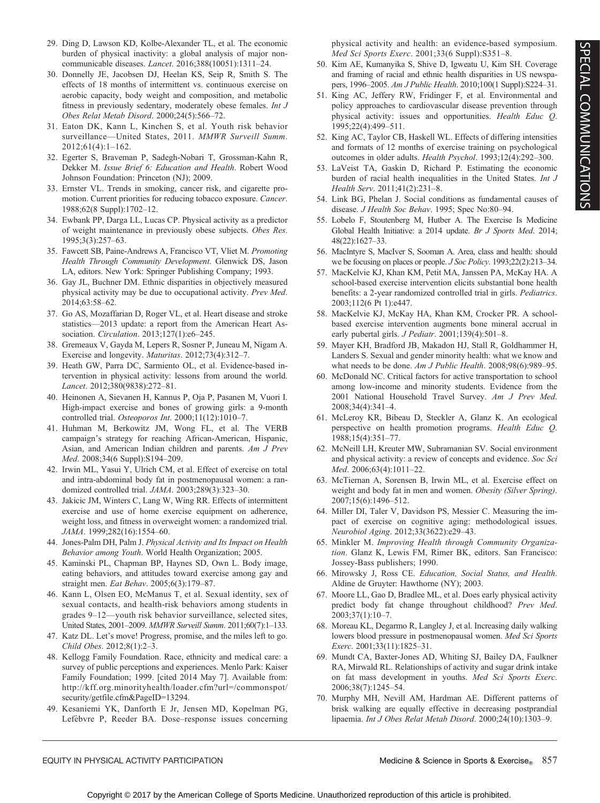- 29. Ding D, Lawson KD, Kolbe-Alexander TL, et al. The economic burden of physical inactivity: a global analysis of major noncommunicable diseases. Lancet. 2016;388(10051):1311–24.
- 30. Donnelly JE, Jacobsen DJ, Heelan KS, Seip R, Smith S. The effects of 18 months of intermittent vs. continuous exercise on aerobic capacity, body weight and composition, and metabolic fitness in previously sedentary, moderately obese females. Int J Obes Relat Metab Disord. 2000;24(5):566–72.
- 31. Eaton DK, Kann L, Kinchen S, et al. Youth risk behavior surveillance—United States, 2011. MMWR Surveill Summ. 2012;61(4):1–162.
- 32. Egerter S, Braveman P, Sadegh-Nobari T, Grossman-Kahn R, Dekker M. Issue Brief 6: Education and Health. Robert Wood Johnson Foundation: Princeton (NJ); 2009.
- 33. Ernster VL. Trends in smoking, cancer risk, and cigarette promotion. Current priorities for reducing tobacco exposure. Cancer. 1988;62(8 Suppl):1702–12.
- 34. Ewbank PP, Darga LL, Lucas CP. Physical activity as a predictor of weight maintenance in previously obese subjects. Obes Res. 1995;3(3):257–63.
- 35. Fawcett SB, Paine-Andrews A, Francisco VT, Vliet M. Promoting Health Through Community Development. Glenwick DS, Jason LA, editors. New York: Springer Publishing Company; 1993.
- 36. Gay JL, Buchner DM. Ethnic disparities in objectively measured physical activity may be due to occupational activity. Prev Med. 2014;63:58–62.
- 37. Go AS, Mozaffarian D, Roger VL, et al. Heart disease and stroke statistics—2013 update: a report from the American Heart Association. Circulation. 2013;127(1):e6-245.
- 38. Gremeaux V, Gayda M, Lepers R, Sosner P, Juneau M, Nigam A. Exercise and longevity. Maturitas. 2012;73(4):312–7.
- 39. Heath GW, Parra DC, Sarmiento OL, et al. Evidence-based intervention in physical activity: lessons from around the world. Lancet. 2012;380(9838):272–81.
- 40. Heinonen A, Sievanen H, Kannus P, Oja P, Pasanen M, Vuori I. High-impact exercise and bones of growing girls: a 9-month controlled trial. Osteoporos Int. 2000;11(12):1010-7.
- 41. Huhman M, Berkowitz JM, Wong FL, et al. The VERB campaign's strategy for reaching African-American, Hispanic, Asian, and American Indian children and parents. Am J Prev Med. 2008;34(6 Suppl):S194–209.
- 42. Irwin ML, Yasui Y, Ulrich CM, et al. Effect of exercise on total and intra-abdominal body fat in postmenopausal women: a randomized controlled trial. JAMA. 2003;289(3):323–30.
- 43. Jakicic JM, Winters C, Lang W, Wing RR. Effects of intermittent exercise and use of home exercise equipment on adherence, weight loss, and fitness in overweight women: a randomized trial. JAMA. 1999;282(16):1554–60.
- 44. Jones-Palm DH, Palm J. Physical Activity and Its Impact on Health Behavior among Youth. World Health Organization; 2005.
- 45. Kaminski PL, Chapman BP, Haynes SD, Own L. Body image, eating behaviors, and attitudes toward exercise among gay and straight men. Eat Behav. 2005;6(3):179–87.
- 46. Kann L, Olsen EO, McManus T, et al. Sexual identity, sex of sexual contacts, and health-risk behaviors among students in grades 9–12—youth risk behavior surveillance, selected sites, United States, 2001–2009. MMWR Surveill Summ. 2011;60(7):1–133.
- 47. Katz DL. Let's move! Progress, promise, and the miles left to go. Child Obes. 2012;8(1):2–3.
- 48. Kellogg Family Foundation. Race, ethnicity and medical care: a survey of public perceptions and experiences. Menlo Park: Kaiser Family Foundation; 1999. [cited 2014 May 7]. Available from: [http://kff.org.minorityhealth/loader.cfm?url=/commonspot/](http://kff.org.minorityhealth/loader.cfm?url=/commonspot/security/getfile.cfm&PageID=13294) [security/getfile.cfm&PageID=13294](http://kff.org.minorityhealth/loader.cfm?url=/commonspot/security/getfile.cfm&PageID=13294).
- 49. Kesaniemi YK, Danforth E Jr, Jensen MD, Kopelman PG, Lefèbvre P, Reeder BA. Dose–response issues concerning

physical activity and health: an evidence-based symposium. Med Sci Sports Exerc. 2001;33(6 Suppl):S351–8.

- 50. Kim AE, Kumanyika S, Shive D, Igweatu U, Kim SH. Coverage and framing of racial and ethnic health disparities in US newspapers, 1996–2005. Am J Public Health. 2010;100(1 Suppl):S224–31.
- 51. King AC, Jeffery RW, Fridinger F, et al. Environmental and policy approaches to cardiovascular disease prevention through physical activity: issues and opportunities. Health Educ Q. 1995;22(4):499–511.
- 52. King AC, Taylor CB, Haskell WL. Effects of differing intensities and formats of 12 months of exercise training on psychological outcomes in older adults. Health Psychol. 1993;12(4):292–300.
- 53. LaVeist TA, Gaskin D, Richard P. Estimating the economic burden of racial health inequalities in the United States. Int J Health Serv. 2011;41(2):231–8.
- 54. Link BG, Phelan J. Social conditions as fundamental causes of disease. J Health Soc Behav. 1995; Spec No:80–94.
- 55. Lobelo F, Stoutenberg M, Hutber A. The Exercise Is Medicine Global Health Initiative: a 2014 update. Br J Sports Med. 2014; 48(22):1627–33.
- 56. MacIntyre S, MacIver S, Sooman A. Area, class and health: should we be focusing on places or people. J Soc Policy. 1993;22(2):213–34.
- 57. MacKelvie KJ, Khan KM, Petit MA, Janssen PA, McKay HA. A school-based exercise intervention elicits substantial bone health benefits: a 2-year randomized controlled trial in girls. Pediatrics. 2003;112(6 Pt 1):e447.
- 58. MacKelvie KJ, McKay HA, Khan KM, Crocker PR. A schoolbased exercise intervention augments bone mineral accrual in early pubertal girls. *J Pediatr*. 2001;139(4):501-8.
- 59. Mayer KH, Bradford JB, Makadon HJ, Stall R, Goldhammer H, Landers S. Sexual and gender minority health: what we know and what needs to be done. Am J Public Health. 2008;98(6):989-95.
- 60. McDonald NC. Critical factors for active transportation to school among low-income and minority students. Evidence from the 2001 National Household Travel Survey. Am J Prev Med. 2008;34(4):341–4.
- 61. McLeroy KR, Bibeau D, Steckler A, Glanz K. An ecological perspective on health promotion programs. Health Educ Q. 1988;15(4):351–77.
- 62. McNeill LH, Kreuter MW, Subramanian SV. Social environment and physical activity: a review of concepts and evidence. Soc Sci Med. 2006;63(4):1011–22.
- 63. McTiernan A, Sorensen B, Irwin ML, et al. Exercise effect on weight and body fat in men and women. Obesity (Silver Spring). 2007;15(6):1496–512.
- 64. Miller DI, Taler V, Davidson PS, Messier C. Measuring the impact of exercise on cognitive aging: methodological issues. Neurobiol Aging. 2012;33(3622):e29–43.
- 65. Minkler M. Improving Health through Community Organization. Glanz K, Lewis FM, Rimer BK, editors. San Francisco: Jossey-Bass publishers; 1990.
- 66. Mirowsky J, Ross CE. Education, Social Status, and Health. Aldine de Gruyter: Hawthorne (NY); 2003.
- 67. Moore LL, Gao D, Bradlee ML, et al. Does early physical activity predict body fat change throughout childhood? Prev Med. 2003;37(1):10–7.
- 68. Moreau KL, Degarmo R, Langley J, et al. Increasing daily walking lowers blood pressure in postmenopausal women. Med Sci Sports Exerc. 2001;33(11):1825–31.
- 69. Mundt CA, Baxter-Jones AD, Whiting SJ, Bailey DA, Faulkner RA, Mirwald RL. Relationships of activity and sugar drink intake on fat mass development in youths. Med Sci Sports Exerc. 2006;38(7):1245–54.
- 70. Murphy MH, Nevill AM, Hardman AE. Different patterns of brisk walking are equally effective in decreasing postprandial lipaemia. Int J Obes Relat Metab Disord. 2000;24(10):1303–9.

#### EQUITY IN PHYSICAL ACTIVITY PARTICIPATION MEDICINE AND Medicine & Science in Sports & Exercise<sup>®</sup> 857